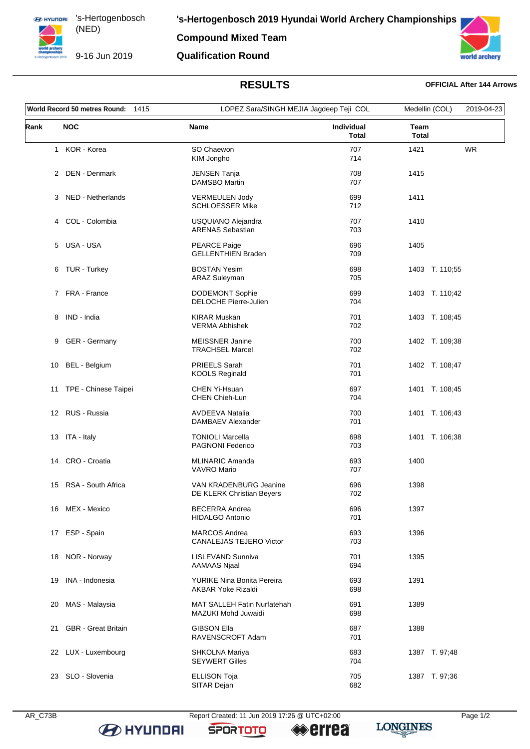

**Compound Mixed Team**

9-16 Jun 2019

**Qualification Round**



## **RESULTS OFFICIAL After 144 Arrows**

| World Record 50 metres Round:<br>1415 |                            | LOPEZ Sara/SINGH MEJIA Jagdeep Teji COL                          |                            | Medellin (COL)       | 2019-04-23 |
|---------------------------------------|----------------------------|------------------------------------------------------------------|----------------------------|----------------------|------------|
| Rank                                  | <b>NOC</b>                 | <b>Name</b>                                                      | Individual<br><b>Total</b> | Team<br><b>Total</b> |            |
|                                       | 1 KOR - Korea              | SO Chaewon<br>KIM Jongho                                         | 707<br>714                 | 1421                 | <b>WR</b>  |
|                                       | 2 DEN - Denmark            | JENSEN Tanja<br><b>DAMSBO Martin</b>                             | 708<br>707                 | 1415                 |            |
| 3                                     | NED - Netherlands          | <b>VERMEULEN Jody</b><br><b>SCHLOESSER Mike</b>                  | 699<br>712                 | 1411                 |            |
|                                       | 4 COL - Colombia           | USQUIANO Alejandra<br><b>ARENAS Sebastian</b>                    | 707<br>703                 | 1410                 |            |
| 5                                     | USA - USA                  | PEARCE Paige<br><b>GELLENTHIEN Braden</b>                        | 696<br>709                 | 1405                 |            |
|                                       | 6 TUR - Turkey             | <b>BOSTAN Yesim</b><br><b>ARAZ Suleyman</b>                      | 698<br>705                 | 1403 T. 110;55       |            |
|                                       | 7 FRA - France             | <b>DODEMONT Sophie</b><br><b>DELOCHE Pierre-Julien</b>           | 699<br>704                 | 1403 T. 110;42       |            |
|                                       | 8 IND - India              | <b>KIRAR Muskan</b><br><b>VERMA Abhishek</b>                     | 701<br>702                 | 1403 T. 108;45       |            |
| 9                                     | GER - Germany              | <b>MEISSNER Janine</b><br><b>TRACHSEL Marcel</b>                 | 700<br>702                 | 1402 T. 109;38       |            |
| 10                                    | BEL - Belgium              | PRIEELS Sarah<br><b>KOOLS Reginald</b>                           | 701<br>701                 | 1402 T. 108;47       |            |
| 11                                    | TPE - Chinese Taipei       | CHEN Yi-Hsuan<br>CHEN Chieh-Lun                                  | 697<br>704                 | 1401 T. 108;45       |            |
|                                       | 12 RUS - Russia            | <b>AVDEEVA Natalia</b><br>DAMBAEV Alexander                      | 700<br>701                 | 1401 T. 106;43       |            |
|                                       | 13 ITA - Italy             | <b>TONIOLI Marcella</b><br>PAGNONI Federico                      | 698<br>703                 | 1401 T. 106;38       |            |
| 14                                    | CRO - Croatia              | <b>MLINARIC Amanda</b><br><b>VAVRO Mario</b>                     | 693<br>707                 | 1400                 |            |
| 15                                    | RSA - South Africa         | VAN KRADENBURG Jeanine<br>DE KLERK Christian Beyers              | 696<br>702                 | 1398                 |            |
|                                       | 16 MEX - Mexico            | <b>BECERRA Andrea</b><br><b>HIDALGO Antonio</b>                  | 696<br>701                 | 1397                 |            |
|                                       | 17 ESP - Spain             | <b>MARCOS Andrea</b><br><b>CANALEJAS TEJERO Victor</b>           | 693<br>703                 | 1396                 |            |
| 18                                    | NOR - Norway               | LISLEVAND Sunniva<br><b>AAMAAS Njaal</b>                         | 701<br>694                 | 1395                 |            |
| 19                                    | INA - Indonesia            | YURIKE Nina Bonita Pereira<br><b>AKBAR Yoke Rizaldi</b>          | 693<br>698                 | 1391                 |            |
| 20                                    | MAS - Malaysia             | <b>MAT SALLEH Fatin Nurfatehah</b><br><b>MAZUKI Mohd Juwaidi</b> | 691<br>698                 | 1389                 |            |
| 21                                    | <b>GBR</b> - Great Britain | <b>GIBSON Ella</b><br>RAVENSCROFT Adam                           | 687<br>701                 | 1388                 |            |
|                                       | 22 LUX - Luxembourg        | SHKOLNA Mariya<br><b>SEYWERT Gilles</b>                          | 683<br>704                 | 1387 T. 97;48        |            |
|                                       | 23 SLO - Slovenia          | <b>ELLISON Toja</b><br>SITAR Dejan                               | 705<br>682                 | 1387 T. 97;36        |            |

**B** HYUNDAI

AR\_C73B Report Created: 11 Jun 2019 17:26 @ UTC+02:00 Page 1/2

**SPORTOTO** 

**errea** 

**LONGINES**